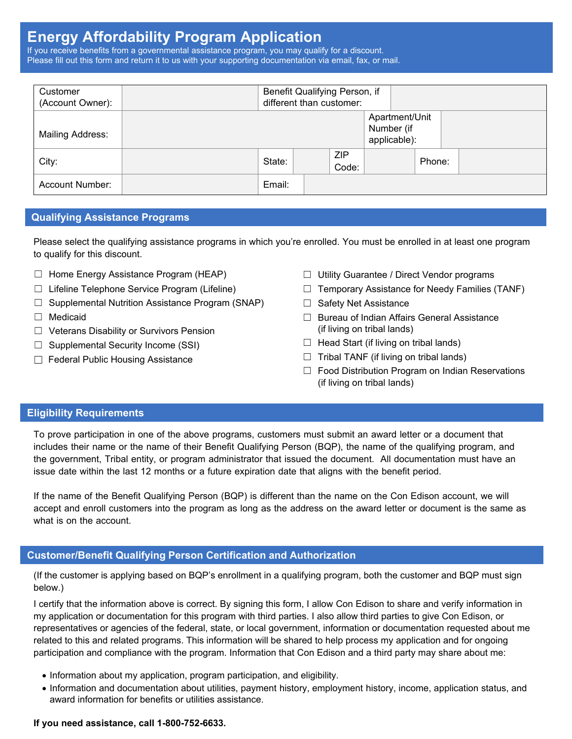## **Energy Affordability Program Application**

If you receive benefits from a governmental assistance program, you may qualify for a discount. Please fill out this form and return it to us with your supporting documentation via email, fax, or mail.

| Customer<br>(Account Owner): | Benefit Qualifying Person, if<br>different than customer: |  |                     |                                              |        |  |  |
|------------------------------|-----------------------------------------------------------|--|---------------------|----------------------------------------------|--------|--|--|
| Mailing Address:             |                                                           |  |                     | Apartment/Unit<br>Number (if<br>applicable): |        |  |  |
| City:                        | State:                                                    |  | <b>ZIP</b><br>Code: |                                              | Phone: |  |  |
| Account Number:              | Email:                                                    |  |                     |                                              |        |  |  |

### **Qualifying Assistance Programs**

Please select the qualifying assistance programs in which you're enrolled. You must be enrolled in at least one program to qualify for this discount.

- ☐ Home Energy Assistance Program (HEAP)
- ☐ Lifeline Telephone Service Program (Lifeline)
- $\Box$  Supplemental Nutrition Assistance Program (SNAP)
- ☐ Medicaid
- ☐ Veterans Disability or Survivors Pension
- $\Box$  Supplemental Security Income (SSI)
- □ Federal Public Housing Assistance
- ☐ Utility Guarantee / Direct Vendor programs
- $\Box$  Temporary Assistance for Needy Families (TANF)
- □ Safety Net Assistance
- ☐ Bureau of Indian Affairs General Assistance (if living on tribal lands)
- $\Box$  Head Start (if living on tribal lands)
- $\Box$  Tribal TANF (if living on tribal lands)
- □ Food Distribution Program on Indian Reservations (if living on tribal lands)

#### **Eligibility Requirements**

To prove participation in one of the above programs, customers must submit an award letter or a document that includes their name or the name of their Benefit Qualifying Person (BQP), the name of the qualifying program, and the government, Tribal entity, or program administrator that issued the document. All documentation must have an issue date within the last 12 months or a future expiration date that aligns with the benefit period.

If the name of the Benefit Qualifying Person (BQP) is different than the name on the Con Edison account, we will accept and enroll customers into the program as long as the address on the award letter or document is the same as what is on the account.

#### **Customer/Benefit Qualifying Person Certification and Authorization**

(If the customer is applying based on BQP's enrollment in a qualifying program, both the customer and BQP must sign below.)

I certify that the information above is correct. By signing this form, I allow Con Edison to share and verify information in my application or documentation for this program with third parties. I also allow third parties to give Con Edison, or representatives or agencies of the federal, state, or local government, information or documentation requested about me related to this and related programs. This information will be shared to help process my application and for ongoing participation and compliance with the program. Information that Con Edison and a third party may share about me:

- Information about my application, program participation, and eligibility.
- Information and documentation about utilities, payment history, employment history, income, application status, and award information for benefits or utilities assistance.

#### **If you need assistance, call 1-800-752-6633.**